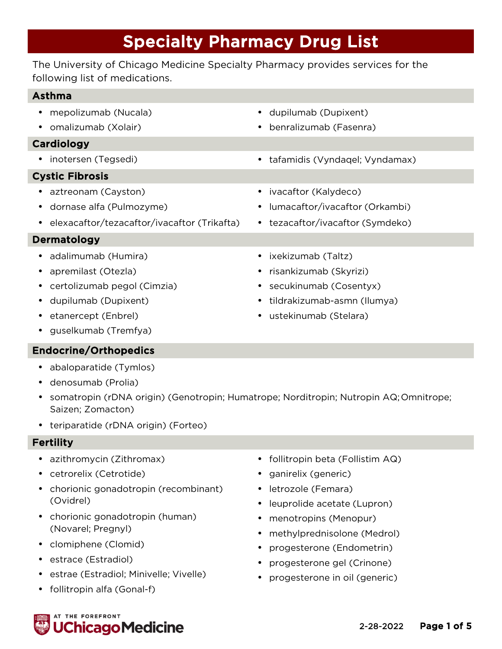# Specialty Pharmacy Drug List

The University of Chicago Medicine Specialty Pharmacy provides services for the following list of medications.

# Asthma

- mepolizumab (Nucala)
- omalizumab (Xolair)

# Cardiology

• inotersen (Tegsedi) • tafamidis (Vyndaqel; Vyndamax)

# Cystic Fibrosis

- aztreonam (Cayston)
- dornase alfa (Pulmozyme)
- elexacaftor/tezacaftor/ivacaftor (Trikafta)

# Dermatology

- adalimumab (Humira)
- apremilast (Otezla)
- certolizumab pegol (Cimzia)
- dupilumab (Dupixent)
- etanercept (Enbrel)
- guselkumab (Tremfya)

# Endocrine/Orthopedics

- abaloparatide (Tymlos)
- denosumab (Prolia)
- somatropin (rDNA origin) (Genotropin; Humatrope; Norditropin; Nutropin AQ;Omnitrope; Saizen; Zomacton)
- teriparatide (rDNA origin) (Forteo)

# Fertility

- azithromycin (Zithromax)
- cetrorelix (Cetrotide)
- chorionic gonadotropin (recombinant) (Ovidrel)
- chorionic gonadotropin (human) (Novarel; Pregnyl)
- clomiphene (Clomid)
- estrace (Estradiol)
- estrae (Estradiol; Minivelle; Vivelle)
- follitropin alfa (Gonal-f)
- follitropin beta (Follistim AQ)
- ganirelix (generic)
- letrozole (Femara)
- leuprolide acetate (Lupron)
- menotropins (Menopur)
- methylprednisolone (Medrol)
- progesterone (Endometrin)
- progesterone gel (Crinone)
- progesterone in oil (generic)



• ixekizumab (Taltz)

• ivacaftor (Kalydeco)

• risankizumab (Skyrizi)

• dupilumab (Dupixent)

• benralizumab (Fasenra)

- secukinumab (Cosentyx)
- tildrakizumab-asmn (Ilumya)

• lumacaftor/ivacaftor (Orkambi) • tezacaftor/ivacaftor (Symdeko)

• ustekinumab (Stelara)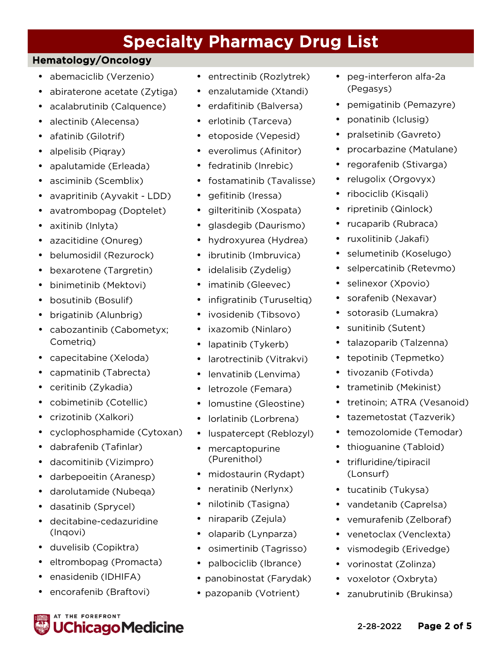# **Specialty Pharmacy Drug List**<br>Hematology/Oncology

- abemaciclib (Verzenio)
- abiraterone acetate (Zytiga)
- acalabrutinib (Calquence)
- alectinib (Alecensa)
- afatinib (Gilotrif)
- alpelisib (Pigray)
- apalutamide (Erleada)
- asciminib (Scemblix)
- avapritinib (Ayvakit LDD)
- avatrombopag (Doptelet)
- axitinib (Inlyta)
- azacitidine (Onureg)
- belumosidil (Rezurock)
- bexarotene (Targretin)
- binimetinib (Mektovi)
- bosutinib (Bosulif)
- brigatinib (Alunbrig)
- cabozantinib (Cabometyx; Cometriq)
- capecitabine (Xeloda)
- capmatinib (Tabrecta)
- ceritinib (Zykadia)
- cobimetinib (Cotellic)
- crizotinib (Xalkori)
- cyclophosphamide (Cytoxan)
- dabrafenib (Tafinlar)
- dacomitinib (Vizimpro)
- darbepoeitin (Aranesp)
- darolutamide (Nubeqa)
- dasatinib (Sprycel)
- decitabine-cedazuridine (Inqovi)
- duvelisib (Copiktra)
- eltrombopag (Promacta)

hicago Medicine.

• enasidenib (IDHIFA)

**IT THE FOREFRONT** 

• encorafenib (Braftovi)

- entrectinib (Rozlytrek)
- enzalutamide (Xtandi)
- erdafitinib (Balversa)
- erlotinib (Tarceva)
- etoposide (Vepesid)
- everolimus (Afinitor)
- fedratinib (Inrebic)
- fostamatinib (Tavalisse)
- gefitinib (Iressa)
- gilteritinib (Xospata)
- glasdegib (Daurismo)
- hydroxyurea (Hydrea)
- ibrutinib (Imbruvica)
- idelalisib (Zydelig)
- imatinib (Gleevec)
- infigratinib (Turuseltiq)
- ivosidenib (Tibsovo)
- ixazomib (Ninlaro)
- lapatinib (Tykerb)
- larotrectinib (Vitrakvi)
- lenvatinib (Lenvima)
- letrozole (Femara)
- lomustine (Gleostine)
- lorlatinib (Lorbrena)
- luspatercept (Reblozyl)
- mercaptopurine (Purenithol)
- midostaurin (Rydapt)
- neratinib (Nerlynx)
- nilotinib (Tasigna)
- niraparib (Zejula)
- olaparib (Lynparza)
- osimertinib (Tagrisso)
- palbociclib (Ibrance)
- panobinostat (Farydak)
- pazopanib (Votrient)
- peg-interferon alfa-2a (Pegasys)
- pemigatinib (Pemazyre)
- ponatinib (Iclusig)
- pralsetinib (Gavreto)
- procarbazine (Matulane)
- regorafenib (Stivarga)
- relugolix (Orgovyx)
- ribociclib (Kisqali)
- ripretinib (Qinlock)
- rucaparib (Rubraca)
- ruxolitinib (Jakafi)
- selumetinib (Koselugo)
- selpercatinib (Retevmo)
- selinexor (Xpovio)
- sorafenib (Nexavar)
- sotorasib (Lumakra)
- sunitinib (Sutent)
- talazoparib (Talzenna)
- tepotinib (Tepmetko)
- tivozanib (Fotivda)
- trametinib (Mekinist)
- tretinoin; ATRA (Vesanoid)
- tazemetostat (Tazverik)
- temozolomide (Temodar)
- thioguanine (Tabloid)
- trifluridine/tipiracil (Lonsurf)
- tucatinib (Tukysa)
- vandetanib (Caprelsa)
- vemurafenib (Zelboraf) • venetoclax (Venclexta)

• vismodegib (Erivedge) • vorinostat (Zolinza) • voxelotor (Oxbryta)

• zanubrutinib (Brukinsa)

2-28-2022 Page 2 of 5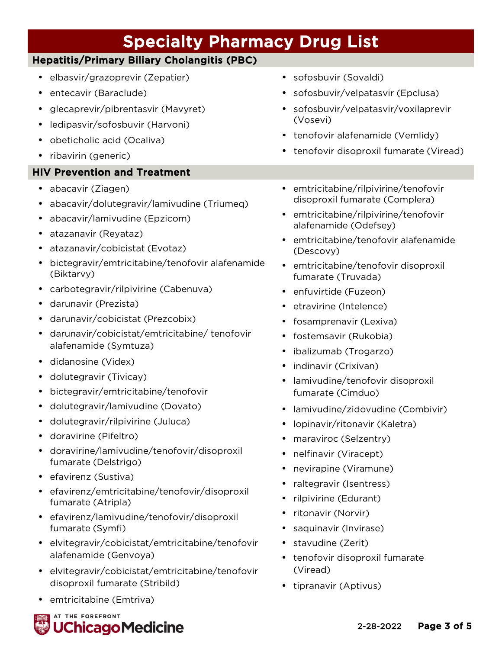| <b>Specialty Pharmacy Drug List</b>                                                                                                                                                                                                                                                                                                                                                                                                                                                                                                                 |                                                                                                                                                                                                                                                                                                                                                                                                                                                                                                                                     |
|-----------------------------------------------------------------------------------------------------------------------------------------------------------------------------------------------------------------------------------------------------------------------------------------------------------------------------------------------------------------------------------------------------------------------------------------------------------------------------------------------------------------------------------------------------|-------------------------------------------------------------------------------------------------------------------------------------------------------------------------------------------------------------------------------------------------------------------------------------------------------------------------------------------------------------------------------------------------------------------------------------------------------------------------------------------------------------------------------------|
| <b>Hepatitis/Primary Biliary Cholangitis (PBC)</b>                                                                                                                                                                                                                                                                                                                                                                                                                                                                                                  |                                                                                                                                                                                                                                                                                                                                                                                                                                                                                                                                     |
| elbasvir/grazoprevir (Zepatier)<br>$\bullet$<br>entecavir (Baraclude)<br>glecaprevir/pibrentasvir (Mavyret)<br>ledipasvir/sofosbuvir (Harvoni)<br>$\bullet$<br>obeticholic acid (Ocaliva)<br>$\bullet$<br>ribavirin (generic)                                                                                                                                                                                                                                                                                                                       | sofosbuvir (Sovaldi)<br>$\bullet$<br>sofosbuvir/velpatasvir (Epclusa)<br>$\bullet$<br>sofosbuvir/velpatasvir/voxilaprevir<br>(Vosevi)<br>• tenofovir alafenamide (Vemlidy)<br>tenofovir disoproxil fumarate (Viread)                                                                                                                                                                                                                                                                                                                |
| <b>HIV Prevention and Treatment</b>                                                                                                                                                                                                                                                                                                                                                                                                                                                                                                                 |                                                                                                                                                                                                                                                                                                                                                                                                                                                                                                                                     |
| abacavir (Ziagen)<br>$\bullet$<br>abacavir/dolutegravir/lamivudine (Triumeq)<br>$\bullet$<br>abacavir/lamivudine (Epzicom)<br>atazanavir (Reyataz)<br>atazanavir/cobicistat (Evotaz)<br>bictegravir/emtricitabine/tenofovir alafenamide<br>(Biktarvy)<br>carbotegravir/rilpivirine (Cabenuva)<br>darunavir (Prezista)<br>darunavir/cobicistat (Prezcobix)<br>darunavir/cobicistat/emtricitabine/tenofovir<br>alafenamide (Symtuza)<br>didanosine (Videx)<br>$\bullet$<br>dolutegravir (Tivicay)<br>$\bullet$<br>bictegravir/emtricitabine/tenofovir | emtricitabine/rilpivirine/tenofovir<br>$\bullet$<br>disoproxil fumarate (Complera)<br>· emtricitabine/rilpivirine/tenofovir<br>alafenamide (Odefsey)<br>emtricitabine/tenofovir alafenamide<br>(Descovy)<br>emtricitabine/tenofovir disoproxil<br>fumarate (Truvada)<br>enfuvirtide (Fuzeon)<br>$\bullet$<br>etravirine (Intelence)<br>٠<br>fosamprenavir (Lexiva)<br>fostemsavir (Rukobia)<br>٠<br>ibalizumab (Trogarzo)<br>$\bullet$<br>indinavir (Crixivan)<br>$\bullet$<br>lamivudine/tenofovir disoproxil<br>fumarate (Cimduo) |
| dolutegravir/lamivudine (Dovato)                                                                                                                                                                                                                                                                                                                                                                                                                                                                                                                    | lamivudine/zidovudine (Combivir)                                                                                                                                                                                                                                                                                                                                                                                                                                                                                                    |
| dolutegravir/rilpivirine (Juluca)<br>doravirine (Pifeltro)<br>doravirine/lamivudine/tenofovir/disoproxil                                                                                                                                                                                                                                                                                                                                                                                                                                            | lopinavir/ritonavir (Kaletra)<br>maraviroc (Selzentry)<br>nelfinavir (Viracept)<br>$\bullet$                                                                                                                                                                                                                                                                                                                                                                                                                                        |
| fumarate (Delstrigo)<br>efavirenz (Sustiva)<br>efavirenz/emtricitabine/tenofovir/disoproxil<br>fumarate (Atripla)<br>efavirenz/lamivudine/tenofovir/disoproxil                                                                                                                                                                                                                                                                                                                                                                                      | nevirapine (Viramune)<br>$\bullet$<br>raltegravir (Isentress)<br>rilpivirine (Edurant)<br>ritonavir (Norvir)<br>٠                                                                                                                                                                                                                                                                                                                                                                                                                   |
| fumarate (Symfi)                                                                                                                                                                                                                                                                                                                                                                                                                                                                                                                                    | saquinavir (Invirase)                                                                                                                                                                                                                                                                                                                                                                                                                                                                                                               |

- elvitegravir/cobicistat/emtricitabine/tenofovir alafenamide (Genvoya)
- elvitegravir/cobicistat/emtricitabine/tenofovir disoproxil fumarate (Stribild)
- emtricitabine (Emtriva)



• stavudine (Zerit)

• tipranavir (Aptivus)

(Viread)

• tenofovir disoproxil fumarate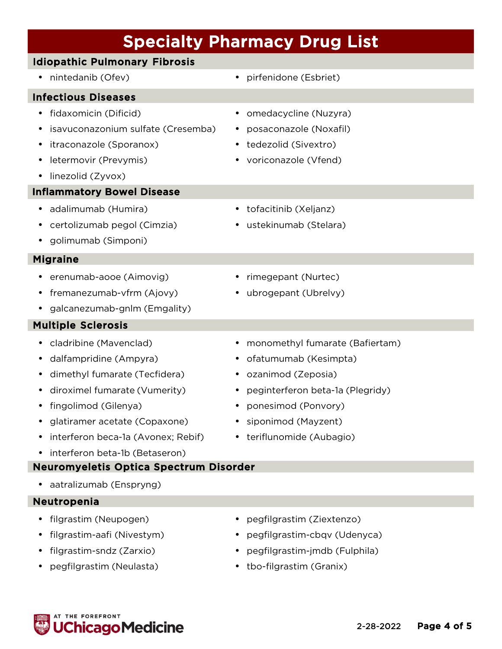# Specialty Pharmacy Drug List

# Idiopathic Pulmonary Fibrosis

# Infectious Diseases

- fidaxomicin (Dificid)
- isavuconazonium sulfate (Cresemba)
- itraconazole (Sporanox)
- letermovir (Prevymis)
- linezolid (Zyvox)

# Inflammatory Bowel Disease

- adalimumab (Humira)
- certolizumab pegol (Cimzia)
- golimumab (Simponi)

# Migraine

- erenumab-aooe (Aimovig)
- fremanezumab-vfrm (Ajovy)
- galcanezumab-gnlm (Emgality)

# Multiple Sclerosis

- cladribine (Mavenclad)
- dalfampridine (Ampyra)
- dimethyl fumarate (Tecfidera)
- diroximel fumarate (Vumerity)
- fingolimod (Gilenya)
- glatiramer acetate (Copaxone)
- interferon beca-1a (Avonex; Rebif)
- interferon beta-1b (Betaseron)

# Neuromyeletis Optica Spectrum Disorder

• aatralizumab (Enspryng)

# Neutropenia

- filgrastim (Neupogen)
- filgrastim-aafi (Nivestym)
- filgrastim-sndz (Zarxio)
- pegfilgrastim (Neulasta)
- nintedanib (Ofev) pirfenidone (Esbriet)
	- omedacycline (Nuzyra)
	- posaconazole (Noxafil)
	- tedezolid (Sivextro)
	- voriconazole (Vfend)
	- tofacitinib (Xeljanz)
	- ustekinumab (Stelara)
	- rimegepant (Nurtec)
	- ubrogepant (Ubrelvy)
	- monomethyl fumarate (Bafiertam)
	- ofatumumab (Kesimpta)
	- ozanimod (Zeposia)
	- peginterferon beta-1a (Plegridy)
	- ponesimod (Ponvory)
	- siponimod (Mayzent)
	- teriflunomide (Aubagio)

- pegfilgrastim (Ziextenzo)
- pegfilgrastim-cbqv (Udenyca)
- pegfilgrastim-jmdb (Fulphila)
- tbo-filgrastim (Granix)